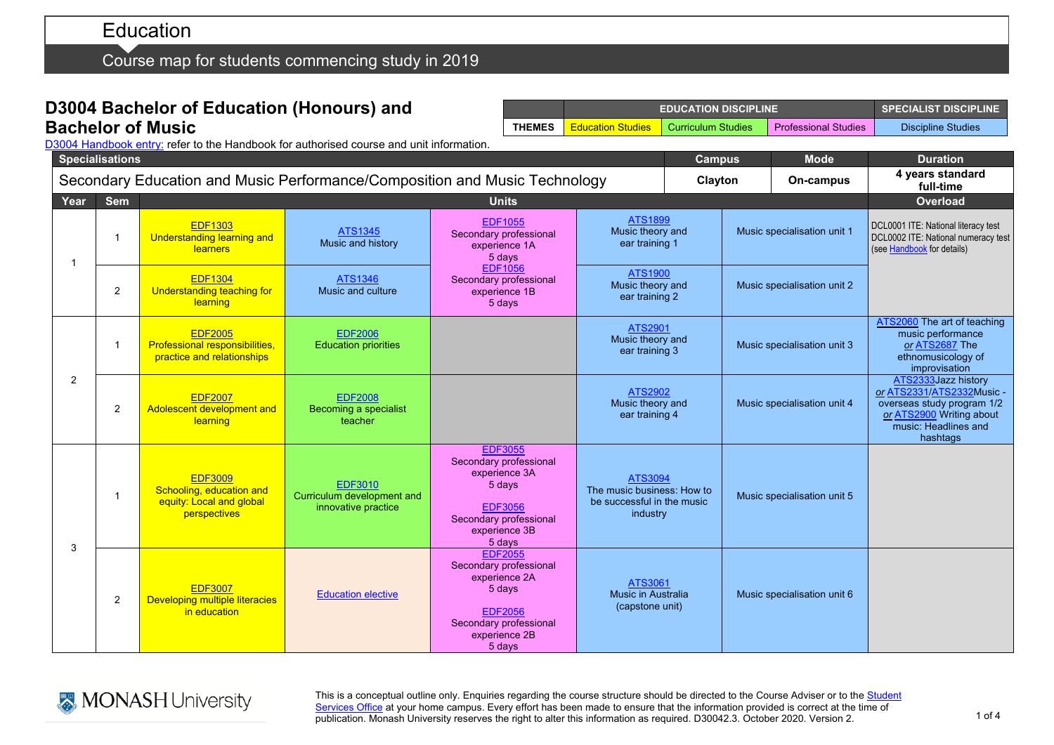Course map for students commencing study in 2019

## **D3004 Bachelor of Education (Honours) and Bachelor of Music**

|               | <b>EDUCATION DISCIPLINE</b> | <b>SPECIALIST DISCIPLINE</b> |                             |                           |
|---------------|-----------------------------|------------------------------|-----------------------------|---------------------------|
| <b>THEMES</b> | <b>Education Studies</b>    | <b>Curriculum Studies</b>    | <b>Professional Studies</b> | <b>Discipline Studies</b> |

D3004 [Handbook entry:](http://www.monash.edu.au/pubs/2019handbooks/courses/D3004.html) refer to the Handbook for authorised course and unit information.

|      | <b>Specialisations</b>                                                     |                                                                                        |                                                                     |                                                                                                                                            |                                                                                        |  | <b>Campus</b>               | <b>Mode</b>                 | <b>Duration</b>                                                                                                                                |
|------|----------------------------------------------------------------------------|----------------------------------------------------------------------------------------|---------------------------------------------------------------------|--------------------------------------------------------------------------------------------------------------------------------------------|----------------------------------------------------------------------------------------|--|-----------------------------|-----------------------------|------------------------------------------------------------------------------------------------------------------------------------------------|
|      | Secondary Education and Music Performance/Composition and Music Technology |                                                                                        |                                                                     |                                                                                                                                            |                                                                                        |  | Clayton<br>On-campus        |                             | 4 years standard<br>full-time                                                                                                                  |
| Year | <b>Sem</b>                                                                 |                                                                                        |                                                                     | <b>Units</b>                                                                                                                               |                                                                                        |  |                             |                             | Overload                                                                                                                                       |
| -1   | $\mathbf 1$                                                                | <b>EDF1303</b><br><b>Understanding learning and</b><br>learners                        | <b>ATS1345</b><br>Music and history                                 | <b>EDF1055</b><br>Secondary professional<br>experience 1A<br>5 days                                                                        | <b>ATS1899</b><br>Music theory and<br>ear training 1                                   |  | Music specialisation unit 1 |                             | DCL0001 ITE: National literacy test<br>DCL0002 ITE: National numeracy test<br>(see Handbook for details)                                       |
|      | $\overline{2}$                                                             | <b>EDF1304</b><br>Understanding teaching for<br>learning                               | <b>ATS1346</b><br>Music and culture                                 | <b>EDF1056</b><br>Secondary professional<br>experience 1B<br>5 days                                                                        | <b>ATS1900</b><br>Music theory and<br>ear training 2                                   |  |                             | Music specialisation unit 2 |                                                                                                                                                |
|      | $\mathbf{1}$                                                               | <b>EDF2005</b><br>Professional responsibilities,<br>practice and relationships         | <b>EDF2006</b><br><b>Education priorities</b>                       |                                                                                                                                            | <b>ATS2901</b><br>Music theory and<br>ear training 3                                   |  | Music specialisation unit 3 |                             | ATS2060 The art of teaching<br>music performance<br>or ATS2687 The<br>ethnomusicology of<br>improvisation                                      |
| 2    | $\overline{2}$                                                             | <b>EDF2007</b><br>Adolescent development and<br>learning                               | <b>EDF2008</b><br>Becoming a specialist<br>teacher                  |                                                                                                                                            | ATS2902<br>Music theory and<br>ear training 4                                          |  | Music specialisation unit 4 |                             | ATS2333Jazz history<br>or ATS2331/ATS2332Music -<br>overseas study program 1/2<br>or ATS2900 Writing about<br>music: Headlines and<br>hashtags |
|      | -1                                                                         | <b>EDF3009</b><br>Schooling, education and<br>equity: Local and global<br>perspectives | <b>EDF3010</b><br>Curriculum development and<br>innovative practice | <b>EDF3055</b><br>Secondary professional<br>experience 3A<br>5 days<br><b>EDF3056</b><br>Secondary professional<br>experience 3B<br>5 days | <b>ATS3094</b><br>The music business: How to<br>be successful in the music<br>industry |  |                             | Music specialisation unit 5 |                                                                                                                                                |
| 3    | $\overline{2}$                                                             | <b>EDF3007</b><br><b>Developing multiple literacies</b><br>in education                | <b>Education elective</b>                                           | <b>EDF2055</b><br>Secondary professional<br>experience 2A<br>5 days<br><b>EDF2056</b><br>Secondary professional<br>experience 2B<br>5 days | ATS3061<br>Music in Australia<br>(capstone unit)                                       |  |                             | Music specialisation unit 6 |                                                                                                                                                |



This is a conceptual outline only. Enquiries regarding the course structure should be directed to the Course Adviser or to the Student <u>[Services Office](https://www.monash.edu/education/current-students/contact)</u> at your home campus. Every effort has been made to ensure that the information provided is correct at the time of publication. Monash University reserves the right to alter this information as required. D30042.3. October 2020. Version 2.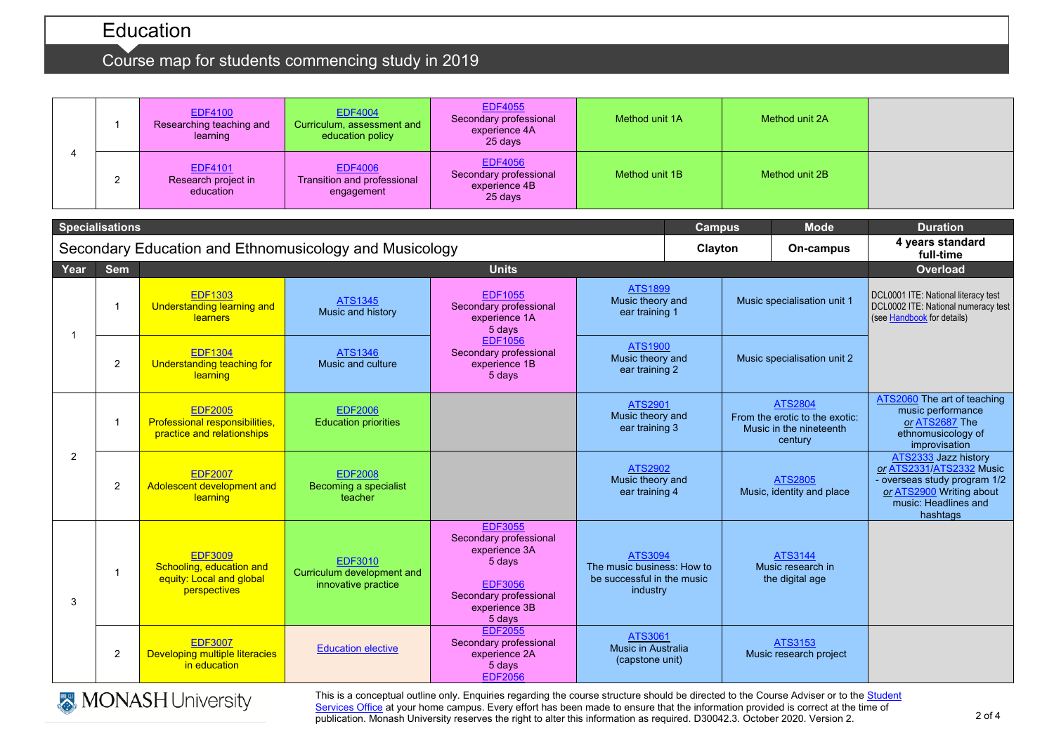# Course map for students commencing study in 2019

|                | $\overline{\mathbf{1}}$ | <b>EDF4100</b><br>Researching teaching and<br>learning                                 | <b>EDF4004</b><br>Curriculum, assessment and<br>education policy    | <b>EDF4055</b><br>Secondary professional<br>experience 4A<br>25 days                                                                       | Method unit 1A                                                                                               |         | Method unit 2A              |                                                                                 |                                                                                                                                                  |
|----------------|-------------------------|----------------------------------------------------------------------------------------|---------------------------------------------------------------------|--------------------------------------------------------------------------------------------------------------------------------------------|--------------------------------------------------------------------------------------------------------------|---------|-----------------------------|---------------------------------------------------------------------------------|--------------------------------------------------------------------------------------------------------------------------------------------------|
| 4              | 2                       | <b>EDF4101</b><br>Research project in<br>education                                     | <b>EDF4006</b><br>Transition and professional<br>engagement         | <b>EDF4056</b><br>Secondary professional<br>experience 4B<br>25 days                                                                       | Method unit 1B                                                                                               |         | Method unit 2B              |                                                                                 |                                                                                                                                                  |
|                | <b>Specialisations</b>  |                                                                                        |                                                                     |                                                                                                                                            |                                                                                                              | Campus  |                             | <b>Mode</b>                                                                     | <b>Duration</b>                                                                                                                                  |
|                |                         |                                                                                        | Secondary Education and Ethnomusicology and Musicology              |                                                                                                                                            |                                                                                                              | Clayton |                             | On-campus                                                                       | 4 years standard<br>full-time                                                                                                                    |
| Year           | <b>Sem</b>              |                                                                                        |                                                                     | <b>Units</b>                                                                                                                               |                                                                                                              |         |                             |                                                                                 | <b>Overload</b>                                                                                                                                  |
| -1             | $\overline{1}$          | <b>EDF1303</b><br><b>Understanding learning and</b><br><b>learners</b>                 | <b>ATS1345</b><br>Music and history                                 | <b>EDF1055</b><br>Secondary professional<br>experience 1A<br>5 days                                                                        | <b>ATS1899</b><br>Music theory and<br>ear training 1<br><b>ATS1900</b><br>Music theory and<br>ear training 2 |         | Music specialisation unit 1 |                                                                                 | DCL0001 ITE: National literacy test<br>DCL0002 ITE: National numeracy test<br>(see Handbook for details)                                         |
|                | 2                       | <b>EDF1304</b><br>Understanding teaching for<br>learning                               | <b>ATS1346</b><br>Music and culture                                 | <b>EDF1056</b><br>Secondary professional<br>experience 1B<br>5 days                                                                        |                                                                                                              |         | Music specialisation unit 2 |                                                                                 |                                                                                                                                                  |
| $\overline{2}$ | $\overline{1}$          | <b>EDF2005</b><br>Professional responsibilities,<br>practice and relationships         | <b>EDF2006</b><br><b>Education priorities</b>                       |                                                                                                                                            | <b>ATS2901</b><br>Music theory and<br>ear training 3                                                         |         |                             | ATS2804<br>From the erotic to the exotic:<br>Music in the nineteenth<br>century | ATS2060 The art of teaching<br>music performance<br>or ATS2687 The<br>ethnomusicology of<br>improvisation                                        |
|                | $\overline{2}$          | <b>EDF2007</b><br>Adolescent development and<br>learning                               | <b>EDF2008</b><br>Becoming a specialist<br>teacher                  |                                                                                                                                            | ATS2902<br>Music theory and<br>ear training 4                                                                |         |                             | ATS2805<br>Music, identity and place                                            | ATS2333 Jazz history<br>or ATS2331/ATS2332 Music<br>- overseas study program 1/2<br>or ATS2900 Writing about<br>music: Headlines and<br>hashtags |
| 3              | $\overline{\mathbf{1}}$ | <b>EDF3009</b><br>Schooling, education and<br>equity: Local and global<br>perspectives | <b>EDF3010</b><br>Curriculum development and<br>innovative practice | <b>EDF3055</b><br>Secondary professional<br>experience 3A<br>5 days<br><b>EDF3056</b><br>Secondary professional<br>experience 3B<br>5 days | ATS3094<br>The music business: How to<br>be successful in the music<br>industry                              |         |                             | <b>ATS3144</b><br>Music research in<br>the digital age                          |                                                                                                                                                  |
|                | $\overline{2}$          | <b>EDF3007</b><br>Developing multiple literacies<br>in education                       | <b>Education elective</b>                                           | <b>EDF2055</b><br>Secondary professional<br>experience 2A<br>5 days<br><b>EDF2056</b>                                                      | <b>ATS3061</b><br><b>Music in Australia</b><br>(capstone unit)                                               |         |                             | ATS3153<br>Music research project                                               |                                                                                                                                                  |



This is a conceptual outline only. Enquiries regarding the course structure should be directed to the Course Adviser or to the Student <u>[Services Office](https://www.monash.edu/education/current-students/contact)</u> at your home campus. Every effort has been made to ensure that the information provided is correct at the time of publication. Monash University reserves the right to alter this information as required. D30042.3. October 2020. Version 2.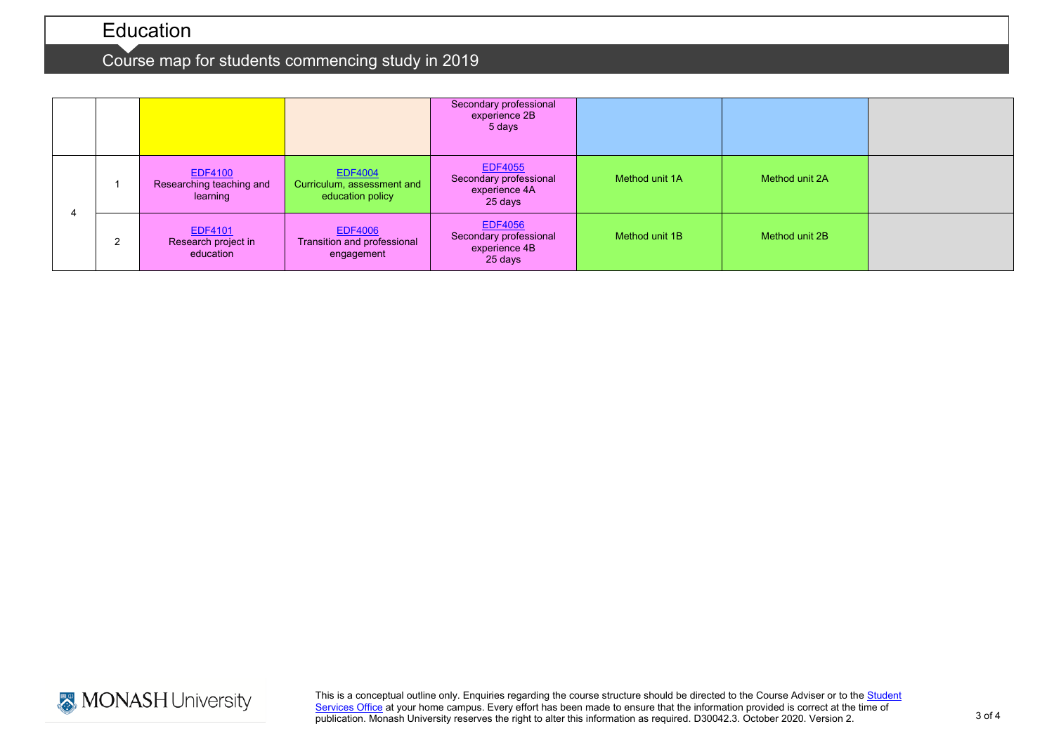# Course map for students commencing study in 2019

|  |                                                        |                                                             | Secondary professional<br>experience 2B<br>5 days                    |                |                |  |
|--|--------------------------------------------------------|-------------------------------------------------------------|----------------------------------------------------------------------|----------------|----------------|--|
|  | <b>EDF4100</b><br>Researching teaching and<br>learning | EDF4004<br>Curriculum, assessment and<br>education policy   | <b>EDF4055</b><br>Secondary professional<br>experience 4A<br>25 days | Method unit 1A | Method unit 2A |  |
|  | <b>EDF4101</b><br>Research project in<br>education     | <b>EDF4006</b><br>Transition and professional<br>engagement | <b>EDF4056</b><br>Secondary professional<br>experience 4B<br>25 days | Method unit 1B | Method unit 2B |  |



This is a conceptual outline only. Enquiries regarding the course structure should be directed to the Course Adviser or to the Student <u>[Services Office](https://www.monash.edu/education/current-students/contact)</u> at your home campus. Every effort has been made to ensure that the information provided is correct at the time of publication. Monash University reserves the right to alter this information as required. D30042.3. October 2020. Version 2.